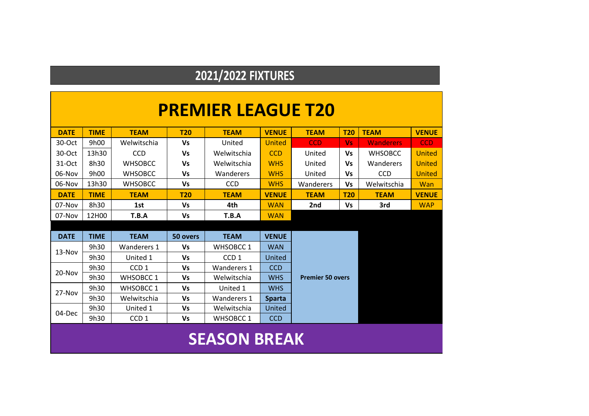#### **2021/2022 FIXTURES**

|             |             |                    |            | <b>PREMIER LEAGUE T20</b> |               |                         |            |                  |               |
|-------------|-------------|--------------------|------------|---------------------------|---------------|-------------------------|------------|------------------|---------------|
| <b>DATE</b> | <b>TIME</b> | <b>TEAM</b>        | <b>T20</b> | <b>TEAM</b>               | <b>VENUE</b>  | <b>TEAM</b>             | <b>T20</b> | <b>TEAM</b>      | <b>VENUE</b>  |
| 30-Oct      | 9h00        | Welwitschia        | Vs         | United                    | United        | <b>CCD</b>              | <b>Vs</b>  | <b>Wanderers</b> | <b>CCD</b>    |
| 30-Oct      | 13h30       | <b>CCD</b>         | Vs         | Welwitschia               | <b>CCD</b>    | United                  | Vs         | <b>WHSOBCC</b>   | <b>United</b> |
| $31-Oct$    | 8h30        | <b>WHSOBCC</b>     | <b>Vs</b>  | Welwitschia               | <b>WHS</b>    | United                  | Vs         | Wanderers        | <b>United</b> |
| 06-Nov      | 9h00        | <b>WHSOBCC</b>     | Vs         | Wanderers                 | <b>WHS</b>    | United                  | <b>Vs</b>  | <b>CCD</b>       | <b>United</b> |
| 06-Nov      | 13h30       | <b>WHSOBCC</b>     | Vs         | <b>CCD</b>                | <b>WHS</b>    | Wanderers               | <b>Vs</b>  | Welwitschia      | Wan           |
| <b>DATE</b> | <b>TIME</b> | <b>TEAM</b>        | <b>T20</b> | <b>TEAM</b>               | <b>VENUE</b>  | <b>TEAM</b>             | <b>T20</b> | <b>TEAM</b>      | <b>VENUE</b>  |
| 07-Nov      | 8h30        | 1st                | Vs         | 4th                       | <b>WAN</b>    | 2nd                     | Vs         | 3rd              | <b>WAP</b>    |
| 07-Nov      | 12H00       | T.B.A              | Vs         | T.B.A                     | <b>WAN</b>    |                         |            |                  |               |
|             |             |                    |            |                           |               |                         |            |                  |               |
| <b>DATE</b> | <b>TIME</b> | <b>TEAM</b>        | 50 overs   | <b>TEAM</b>               | <b>VENUE</b>  |                         |            |                  |               |
| $13-Nov$    | 9h30        | <b>Wanderers 1</b> | Vs         | <b>WHSOBCC1</b>           | <b>WAN</b>    |                         |            |                  |               |
|             | 9h30        | United 1           | Vs         | CCD <sub>1</sub>          | United        |                         |            |                  |               |
| $20 - Nov$  | 9h30        | CCD <sub>1</sub>   | Vs         | <b>Wanderers 1</b>        | <b>CCD</b>    |                         |            |                  |               |
|             | 9h30        | <b>WHSOBCC1</b>    | <b>Vs</b>  | Welwitschia               | <b>WHS</b>    | <b>Premier 50 overs</b> |            |                  |               |
| 27-Nov      | 9h30        | <b>WHSOBCC1</b>    | Vs         | United 1                  | <b>WHS</b>    |                         |            |                  |               |
|             | 9h30        | Welwitschia        | Vs         | Wanderers 1               | <b>Sparta</b> |                         |            |                  |               |
| 04-Dec      | 9h30        | United 1           | Vs         | Welwitschia               | United        |                         |            |                  |               |
|             | 9h30        | CCD <sub>1</sub>   | <b>Vs</b>  | <b>WHSOBCC1</b>           | <b>CCD</b>    |                         |            |                  |               |
|             |             |                    |            |                           |               |                         |            |                  |               |

### **SEASON BREAK**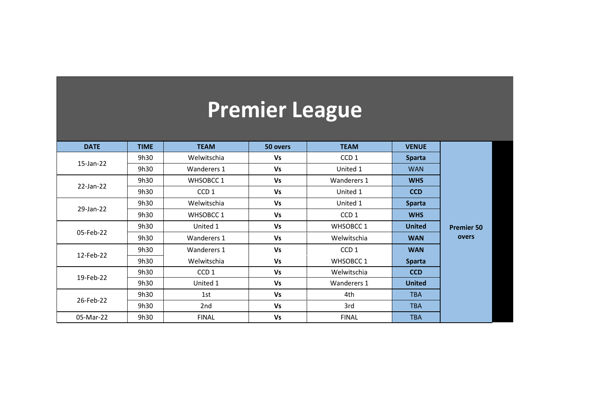# **Premier League**

| <b>DATE</b> | <b>TIME</b> | <b>TEAM</b>      | 50 overs  | <b>TEAM</b>      | <b>VENUE</b>  |                   |
|-------------|-------------|------------------|-----------|------------------|---------------|-------------------|
|             | 9h30        | Welwitschia      | Vs        | CCD <sub>1</sub> | <b>Sparta</b> |                   |
| 15-Jan-22   | 9h30        | Wanderers 1      | <b>Vs</b> | United 1         | <b>WAN</b>    |                   |
|             | 9h30        | WHSOBCC 1        | <b>Vs</b> | Wanderers 1      | <b>WHS</b>    |                   |
| 22-Jan-22   | 9h30        | CCD <sub>1</sub> | Vs        | United 1         | <b>CCD</b>    |                   |
|             | 9h30        | Welwitschia      | <b>Vs</b> | United 1         | <b>Sparta</b> |                   |
| 29-Jan-22   | 9h30        | <b>WHSOBCC1</b>  | Vs        | CCD <sub>1</sub> | <b>WHS</b>    |                   |
|             | 9h30        | United 1         | Vs        | WHSOBCC 1        | <b>United</b> | <b>Premier 50</b> |
| 05-Feb-22   | 9h30        | Wanderers 1      | <b>Vs</b> | Welwitschia      | <b>WAN</b>    | overs             |
|             | 9h30        | Wanderers 1      | <b>Vs</b> | CCD <sub>1</sub> | <b>WAN</b>    |                   |
| 12-Feb-22   | 9h30        | Welwitschia      | Vs        | WHSOBCC 1        | <b>Sparta</b> |                   |
|             | 9h30        | CCD <sub>1</sub> | <b>Vs</b> | Welwitschia      | <b>CCD</b>    |                   |
| 19-Feb-22   | 9h30        | United 1         | Vs        | Wanderers 1      | <b>United</b> |                   |
|             | 9h30        | 1st              | <b>Vs</b> | 4th              | <b>TBA</b>    |                   |
| 26-Feb-22   | 9h30        | 2nd              | <b>Vs</b> | 3rd              | <b>TBA</b>    |                   |
| 05-Mar-22   | 9h30        | <b>FINAL</b>     | <b>Vs</b> | <b>FINAL</b>     | <b>TBA</b>    |                   |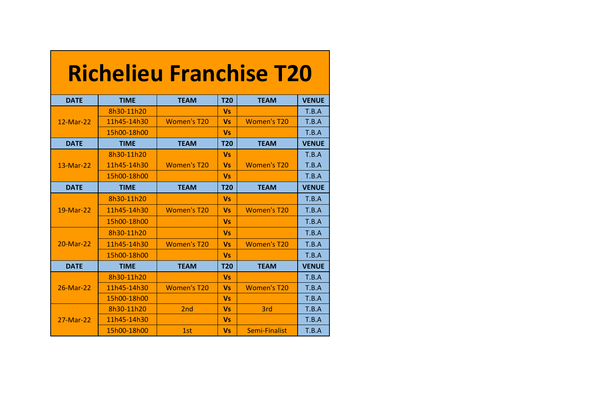|             |             |                         |            | <b>Richelieu Franchise T20</b> |              |
|-------------|-------------|-------------------------|------------|--------------------------------|--------------|
| <b>DATE</b> | <b>TIME</b> | <b>TEAM</b>             | <b>T20</b> | <b>TEAM</b>                    | <b>VENUE</b> |
|             | 8h30-11h20  |                         | <b>Vs</b>  |                                | T.B.A        |
| 12-Mar-22   | 11h45-14h30 | <b>Women's T20</b>      | <b>Vs</b>  | <b>Women's T20</b>             | T.B.A        |
|             | 15h00-18h00 |                         | <b>Vs</b>  |                                | T.B.A        |
| <b>DATE</b> | <b>TIME</b> | <b>TEAM</b>             | <b>T20</b> | <b>TEAM</b>                    | <b>VENUE</b> |
|             | 8h30-11h20  |                         | <b>Vs</b>  |                                | T.B.A        |
| 13-Mar-22   | 11h45-14h30 | <b>Women's T20</b>      | <b>Vs</b>  | <b>Women's T20</b>             | T.B.A        |
|             | 15h00-18h00 |                         | <b>Vs</b>  |                                | T.B.A        |
| <b>DATE</b> | <b>TIME</b> | <b>TEAM</b>             | <b>T20</b> | <b>TEAM</b>                    | <b>VENUE</b> |
|             | 8h30-11h20  |                         | <b>Vs</b>  |                                | T.B.A        |
| 19-Mar-22   | 11h45-14h30 | Women's T <sub>20</sub> | <b>Vs</b>  | Women's T <sub>20</sub>        | T.B.A        |
|             | 15h00-18h00 |                         | <b>Vs</b>  |                                | T.B.A        |
|             | 8h30-11h20  |                         | <b>Vs</b>  |                                | T.B.A        |
| 20-Mar-22   | 11h45-14h30 | <b>Women's T20</b>      | <b>Vs</b>  | <b>Women's T20</b>             | T.B.A        |
|             | 15h00-18h00 |                         | <b>Vs</b>  |                                | T.B.A        |
| <b>DATE</b> | <b>TIME</b> | <b>TEAM</b>             | <b>T20</b> | <b>TEAM</b>                    | <b>VENUE</b> |
|             | 8h30-11h20  |                         | <b>Vs</b>  |                                | T.B.A        |
| 26-Mar-22   | 11h45-14h30 | <b>Women's T20</b>      | <b>Vs</b>  | <b>Women's T20</b>             | T.B.A        |
|             | 15h00-18h00 |                         | <b>Vs</b>  |                                | T.B.A        |
|             | 8h30-11h20  | 2 <sub>nd</sub>         | <b>Vs</b>  | 3rd                            | T.B.A        |
| 27-Mar-22   | 11h45-14h30 |                         | <b>Vs</b>  |                                | T.B.A        |
|             | 15h00-18h00 | 1st                     | <b>Vs</b>  | Semi-Finalist                  | T.B.A        |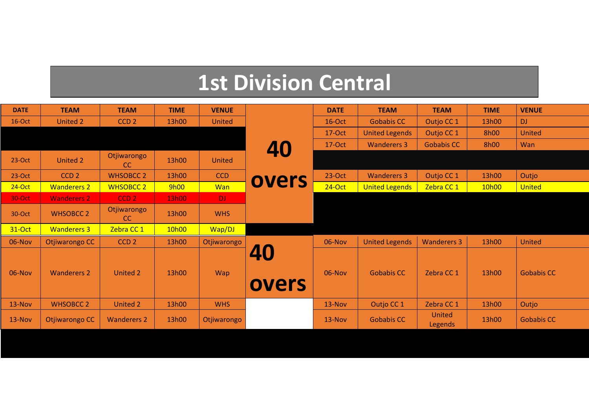## **1st Division Central**

| <b>DATE</b> | <b>TEAM</b>        | <b>TEAM</b>                  | <b>TIME</b> | <b>VENUE</b>  |             | <b>DATE</b> | <b>TEAM</b>           | <b>TEAM</b>              | <b>TIME</b> | <b>VENUE</b>      |
|-------------|--------------------|------------------------------|-------------|---------------|-------------|-------------|-----------------------|--------------------------|-------------|-------------------|
| $16$ -Oct   | <b>United 2</b>    | CCD <sub>2</sub>             | 13h00       | United        |             | 16-Oct      | <b>Gobabis CC</b>     | Outjo CC 1               | 13h00       | <b>DJ</b>         |
|             |                    |                              |             |               |             | 17-Oct      | <b>United Legends</b> | Outjo CC 1               | 8h00        | United            |
|             |                    |                              |             |               | 40          | 17-Oct      | <b>Wanderers 3</b>    | <b>Gobabis CC</b>        | 8h00        | Wan               |
| $23-Oct$    | United 2           | Otjiwarongo<br><sub>cc</sub> | 13h00       | <b>United</b> |             |             |                       |                          |             |                   |
| $23-Oct$    | CCD <sub>2</sub>   | <b>WHSOBCC 2</b>             | 13h00       | CCD           | overs       | 23-Oct      | <b>Wanderers 3</b>    | Outjo CC 1               | 13h00       | Outjo             |
| $24$ -Oct   | <b>Wanderers 2</b> | <b>WHSOBCC 2</b>             | 9h00        | Wan           |             | $24$ -Oct   | <b>United Legends</b> | Zebra CC 1               | 10h00       | <b>United</b>     |
| 30-Oct      | <b>Wanderers 2</b> | CCD <sub>2</sub>             | 13h00       | DJ.           |             |             |                       |                          |             |                   |
| 30-Oct      | <b>WHSOBCC 2</b>   | Otjiwarongo<br>CC            | 13h00       | <b>WHS</b>    |             |             |                       |                          |             |                   |
| 31-Oct      | <b>Wanderers 3</b> | Zebra CC 1                   | 10h00       | Wap/DJ        |             |             |                       |                          |             |                   |
| 06-Nov      | Otjiwarongo CC     | CCD <sub>2</sub>             | 13h00       | Otjiwarongo   |             | 06-Nov      | <b>United Legends</b> | <b>Wanderers 3</b>       | 13h00       | United            |
| 06-Nov      | <b>Wanderers 2</b> | <b>United 2</b>              | 13h00       | <b>Wap</b>    | 40<br>overs | 06-Nov      | <b>Gobabis CC</b>     | Zebra CC 1               | 13h00       | <b>Gobabis CC</b> |
| 13-Nov      | <b>WHSOBCC 2</b>   | <b>United 2</b>              | 13h00       | <b>WHS</b>    |             | $13-Nov$    | Outjo CC 1            | Zebra CC 1               | 13h00       | Outjo             |
| 13-Nov      | Otjiwarongo CC     | <b>Wanderers 2</b>           | 13h00       | Otjiwarongo   |             | $13-Nov$    | <b>Gobabis CC</b>     | <b>United</b><br>Legends | 13h00       | <b>Gobabis CC</b> |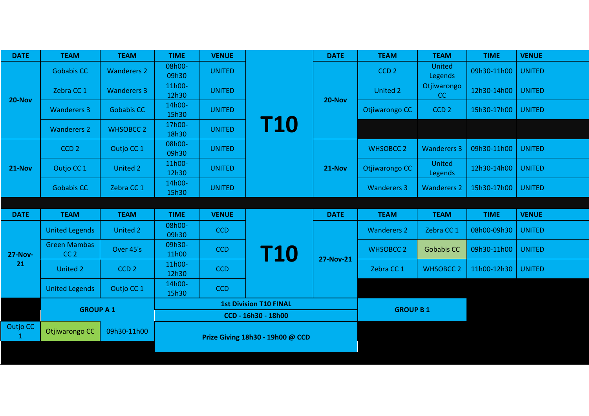| <b>DATE</b>    | <b>TEAM</b>                            | <b>TEAM</b>        | <b>TIME</b>     | <b>VENUE</b>  |                                  | <b>DATE</b>      | <b>TEAM</b>        | <b>TEAM</b>        | <b>TIME</b> | <b>VENUE</b>  |
|----------------|----------------------------------------|--------------------|-----------------|---------------|----------------------------------|------------------|--------------------|--------------------|-------------|---------------|
|                | <b>Gobabis CC</b>                      | <b>Wanderers 2</b> | 08h00-<br>09h30 | <b>UNITED</b> |                                  |                  | CCD <sub>2</sub>   | United<br>Legends  | 09h30-11h00 | <b>UNITED</b> |
| <b>20-Nov</b>  | Zebra CC 1                             | <b>Wanderers 3</b> | 11h00-<br>12h30 | <b>UNITED</b> |                                  | <b>20-Nov</b>    | <b>United 2</b>    | Otjiwarongo<br>CC  | 12h30-14h00 | <b>UNITED</b> |
|                | <b>Wanderers 3</b>                     | <b>Gobabis CC</b>  | 14h00-<br>15h30 | <b>UNITED</b> |                                  |                  | Otjiwarongo CC     | CCD <sub>2</sub>   | 15h30-17h00 | <b>UNITED</b> |
|                | <b>Wanderers 2</b>                     | <b>WHSOBCC 2</b>   | 17h00-<br>18h30 | <b>UNITED</b> | <b>T10</b>                       |                  |                    |                    |             |               |
|                | CCD <sub>2</sub>                       | Outjo CC 1         | 08h00-<br>09h30 | <b>UNITED</b> |                                  |                  | <b>WHSOBCC 2</b>   | <b>Wanderers 3</b> | 09h30-11h00 | <b>UNITED</b> |
| <b>21-Nov</b>  | Outjo CC 1                             | United 2           | 11h00-<br>12h30 | <b>UNITED</b> |                                  | $21-Nov$         | Otjiwarongo CC     | United<br>Legends  | 12h30-14h00 | <b>UNITED</b> |
|                | <b>Gobabis CC</b>                      | Zebra CC 1         | 14h00-<br>15h30 | <b>UNITED</b> |                                  |                  | <b>Wanderers 3</b> | <b>Wanderers 2</b> | 15h30-17h00 | <b>UNITED</b> |
|                |                                        |                    |                 |               |                                  |                  |                    |                    |             |               |
|                |                                        |                    |                 |               |                                  |                  |                    |                    |             |               |
| <b>DATE</b>    | <b>TEAM</b>                            | <b>TEAM</b>        | <b>TIME</b>     | <b>VENUE</b>  |                                  | <b>DATE</b>      | <b>TEAM</b>        | <b>TEAM</b>        | <b>TIME</b> | <b>VENUE</b>  |
|                | <b>United Legends</b>                  | United 2           | 08h00-<br>09h30 | <b>CCD</b>    |                                  |                  | <b>Wanderers 2</b> | Zebra CC 1         | 08h00-09h30 | <b>UNITED</b> |
| <b>27-Nov-</b> | <b>Green Mambas</b><br>CC <sub>2</sub> | Over 45's          | 09h30-<br>11h00 | <b>CCD</b>    |                                  |                  | <b>WHSOBCC 2</b>   | <b>Gobabis CC</b>  | 09h30-11h00 | <b>UNITED</b> |
| 21             | United 2                               | CCD <sub>2</sub>   | 11h00-<br>12h30 | <b>CCD</b>    | <b>T10</b>                       | <b>27-Nov-21</b> | Zebra CC 1         | <b>WHSOBCC 2</b>   | 11h00-12h30 | <b>UNITED</b> |
|                | <b>United Legends</b>                  | Outjo CC 1         | 14h00-<br>15h30 | <b>CCD</b>    |                                  |                  |                    |                    |             |               |
|                |                                        |                    |                 |               | <b>1st Division T10 FINAL</b>    |                  |                    |                    |             |               |
|                | <b>GROUP A 1</b>                       |                    |                 |               | CCD - 16h30 - 18h00              |                  | <b>GROUP B1</b>    |                    |             |               |
| Outjo CC       | Otjiwarongo CC                         | 09h30-11h00        |                 |               | Prize Giving 18h30 - 19h00 @ CCD |                  |                    |                    |             |               |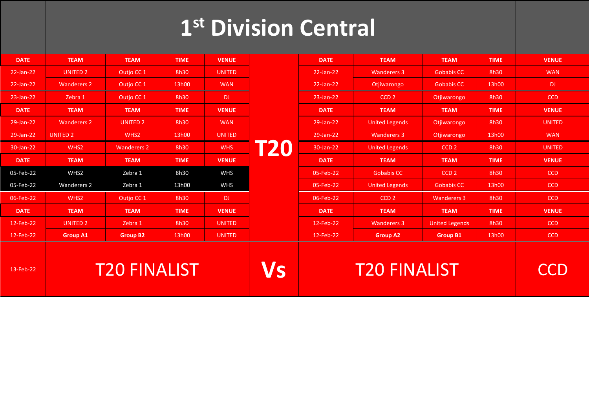# **1 st Division Central**

| <b>DATE</b> | <b>TEAM</b>         | <b>TEAM</b>        | <b>TIME</b> | <b>VENUE</b>  |     | <b>DATE</b>         | <b>TEAM</b>           | <b>TEAM</b>           | <b>TIME</b> | <b>VENUE</b>  |
|-------------|---------------------|--------------------|-------------|---------------|-----|---------------------|-----------------------|-----------------------|-------------|---------------|
| 22-Jan-22   | <b>UNITED 2</b>     | Outjo CC 1         | 8h30        | <b>UNITED</b> |     | 22-Jan-22           | <b>Wanderers 3</b>    | <b>Gobabis CC</b>     | 8h30        | <b>WAN</b>    |
| 22-Jan-22   | <b>Wanderers 2</b>  | Outjo CC 1         | 13h00       | <b>WAN</b>    |     | 22-Jan-22           | Otjiwarongo           | <b>Gobabis CC</b>     | 13h00       | DJ.           |
| 23-Jan-22   | Zebra 1             | Outjo CC 1         | 8h30        | DJ.           |     | 23-Jan-22           | CCD <sub>2</sub>      | Otjiwarongo           | 8h30        | <b>CCD</b>    |
| <b>DATE</b> | <b>TEAM</b>         | <b>TEAM</b>        | <b>TIME</b> | <b>VENUE</b>  |     | <b>DATE</b>         | <b>TEAM</b>           | <b>TEAM</b>           | <b>TIME</b> | <b>VENUE</b>  |
| 29-Jan-22   | <b>Wanderers 2</b>  | <b>UNITED 2</b>    | 8h30        | <b>WAN</b>    |     | 29-Jan-22           | <b>United Legends</b> | Otjiwarongo           | 8h30        | <b>UNITED</b> |
| 29-Jan-22   | <b>UNITED 2</b>     | WHS <sub>2</sub>   | 13h00       | <b>UNITED</b> |     | 29-Jan-22           | <b>Wanderers 3</b>    | Otjiwarongo           | 13h00       | <b>WAN</b>    |
| 30-Jan-22   | WHS <sub>2</sub>    | <b>Wanderers 2</b> | 8h30        | <b>WHS</b>    | T20 | 30-Jan-22           | <b>United Legends</b> | CCD <sub>2</sub>      | 8h30        | <b>UNITED</b> |
| <b>DATE</b> | <b>TEAM</b>         | <b>TEAM</b>        | <b>TIME</b> | <b>VENUE</b>  |     | <b>DATE</b>         | <b>TEAM</b>           | <b>TEAM</b>           | <b>TIME</b> | <b>VENUE</b>  |
| 05-Feb-22   | WHS2                | Zebra 1            | 8h30        | <b>WHS</b>    |     | 05-Feb-22           | <b>Gobabis CC</b>     | CCD <sub>2</sub>      | 8h30        | <b>CCD</b>    |
| 05-Feb-22   | <b>Wanderers 2</b>  | Zebra 1            | 13h00       | <b>WHS</b>    |     | 05-Feb-22           | <b>United Legends</b> | <b>Gobabis CC</b>     | 13h00       | <b>CCD</b>    |
| 06-Feb-22   | WHS <sub>2</sub>    | Outjo CC 1         | 8h30        | DJ.           |     | 06-Feb-22           | CCD <sub>2</sub>      | <b>Wanderers 3</b>    | 8h30        | <b>CCD</b>    |
| <b>DATE</b> | <b>TEAM</b>         | <b>TEAM</b>        | <b>TIME</b> | <b>VENUE</b>  |     | <b>DATE</b>         | <b>TEAM</b>           | <b>TEAM</b>           | <b>TIME</b> | <b>VENUE</b>  |
| 12-Feb-22   | <b>UNITED 2</b>     | Zebra 1            | 8h30        | <b>UNITED</b> |     | 12-Feb-22           | <b>Wanderers 3</b>    | <b>United Legends</b> | 8h30        | <b>CCD</b>    |
| 12-Feb-22   | <b>Group A1</b>     | <b>Group B2</b>    | 13h00       | <b>UNITED</b> |     | 12-Feb-22           | <b>Group A2</b>       | <b>Group B1</b>       | 13h00       | <b>CCD</b>    |
| 13-Feb-22   | <b>T20 FINALIST</b> |                    |             |               |     | <b>T20 FINALIST</b> |                       |                       | a a r       |               |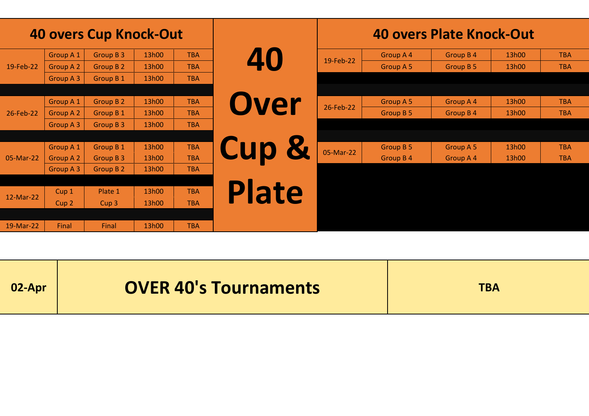|           |                  | <b>40 overs Cup Knock-Out</b> |       |            |                  |           |                  | 40 overs Plate Knock-Out |       |            |
|-----------|------------------|-------------------------------|-------|------------|------------------|-----------|------------------|--------------------------|-------|------------|
|           | <b>Group A 1</b> | Group B 3                     | 13h00 | <b>TBA</b> | 40               |           | Group A 4        | Group B 4                | 13h00 | <b>TBA</b> |
| 19-Feb-22 | Group A 2        | Group B 2                     | 13h00 | <b>TBA</b> |                  | 19-Feb-22 | <b>Group A 5</b> | Group B 5                | 13h00 | <b>TBA</b> |
|           | Group A 3        | Group B 1                     | 13h00 | <b>TBA</b> |                  |           |                  |                          |       |            |
|           |                  |                               |       |            |                  |           |                  |                          |       |            |
|           | <b>Group A 1</b> | <b>Group B 2</b>              | 13h00 | <b>TBA</b> | Over             | 26-Feb-22 | Group A 5        | Group A 4                | 13h00 | <b>TBA</b> |
| 26-Feb-22 | Group A 2        | <b>Group B1</b>               | 13h00 | <b>TBA</b> |                  |           | Group B 5        | Group B 4                | 13h00 | <b>TBA</b> |
|           | Group A 3        | Group B 3                     | 13h00 | <b>TBA</b> |                  |           |                  |                          |       |            |
|           |                  |                               |       |            |                  |           |                  |                          |       |            |
|           | Group A 1        | Group B 1                     | 13h00 | <b>TBA</b> | <b>Cup &amp;</b> | 05-Mar-22 | <b>Group B 5</b> | Group A 5                | 13h00 | <b>TBA</b> |
| 05-Mar-22 | Group A 2        | Group B 3                     | 13h00 | <b>TBA</b> |                  |           | Group B 4        | Group A 4                | 13h00 | <b>TBA</b> |
|           | Group A 3        | Group B 2                     | 13h00 | <b>TBA</b> |                  |           |                  |                          |       |            |
|           |                  |                               |       |            |                  |           |                  |                          |       |            |
| 12-Mar-22 | Cup <sub>1</sub> | Plate 1                       | 13h00 | <b>TBA</b> | <b>Plate</b>     |           |                  |                          |       |            |
|           | Cup <sub>2</sub> | Cup <sub>3</sub>              | 13h00 | <b>TBA</b> |                  |           |                  |                          |       |            |
|           |                  |                               |       |            |                  |           |                  |                          |       |            |
| 19-Mar-22 | Final            | Final                         | 13h00 | <b>TBA</b> |                  |           |                  |                          |       |            |

| 02-Apr | <b>OVER 40's Tournaments</b> | <b>TBA</b> |
|--------|------------------------------|------------|
|--------|------------------------------|------------|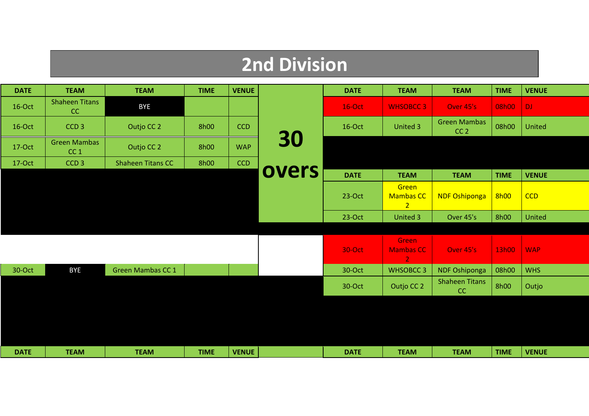### **2nd Division**

| <b>DATE</b> | <b>TEAM</b>                            | <b>TEAM</b>              | <b>TIME</b> | <b>VENUE</b> |       | <b>DATE</b>   | <b>TEAM</b>                                 | <b>TEAM</b>                            | <b>TIME</b> | <b>VENUE</b> |
|-------------|----------------------------------------|--------------------------|-------------|--------------|-------|---------------|---------------------------------------------|----------------------------------------|-------------|--------------|
| 16-Oct      | <b>Shaheen Titans</b><br>CC            | <b>BYE</b>               |             |              |       | <b>16-Oct</b> | <b>WHSOBCC3</b>                             | Over 45's                              | 08h00       | DJ.          |
| 16-Oct      | CCD <sub>3</sub>                       | Outjo CC 2               | <b>8h00</b> | <b>CCD</b>   |       | 16-Oct        | United 3                                    | <b>Green Mambas</b><br>CC <sub>2</sub> | 08h00       | United       |
| 17-Oct      | <b>Green Mambas</b><br>CC <sub>1</sub> | Outjo CC 2               | 8h00        | <b>WAP</b>   | 30    |               |                                             |                                        |             |              |
| 17-Oct      | CCD <sub>3</sub>                       | <b>Shaheen Titans CC</b> | <b>8h00</b> | CCD          |       |               |                                             |                                        |             |              |
|             |                                        |                          |             |              | overs | <b>DATE</b>   | <b>TEAM</b>                                 | <b>TEAM</b>                            | <b>TIME</b> | <b>VENUE</b> |
|             |                                        |                          |             |              |       | $23-Oct$      | Green<br><b>Mambas CC</b><br>$\overline{2}$ | <b>NDF Oshiponga</b>                   | 8h00        | <b>CCD</b>   |
|             |                                        |                          |             |              |       | 23-Oct        | United 3                                    | Over 45's                              | <b>8h00</b> | United       |
|             |                                        |                          |             |              |       |               |                                             |                                        |             |              |
|             |                                        |                          |             |              |       | 30-Oct        | Green<br><b>Mambas CC</b><br>$\overline{2}$ | Over 45's                              | 13h00       | <b>WAP</b>   |
| 30-Oct      | <b>BYE</b>                             | <b>Green Mambas CC 1</b> |             |              |       | 30-Oct        | <b>WHSOBCC3</b>                             | NDF Oshiponga                          | 08h00       | <b>WHS</b>   |
|             |                                        |                          |             |              |       | 30-Oct        | Outjo CC 2                                  | <b>Shaheen Titans</b><br>CC            | <b>8h00</b> | Outjo        |
|             |                                        |                          |             |              |       |               |                                             |                                        |             |              |
|             |                                        |                          |             |              |       |               |                                             |                                        |             |              |
|             |                                        |                          |             |              |       |               |                                             |                                        |             |              |
| <b>DATE</b> | <b>TEAM</b>                            | <b>TEAM</b>              | <b>TIME</b> | <b>VENUE</b> |       | <b>DATE</b>   | <b>TEAM</b>                                 | <b>TEAM</b>                            | <b>TIME</b> | <b>VENUE</b> |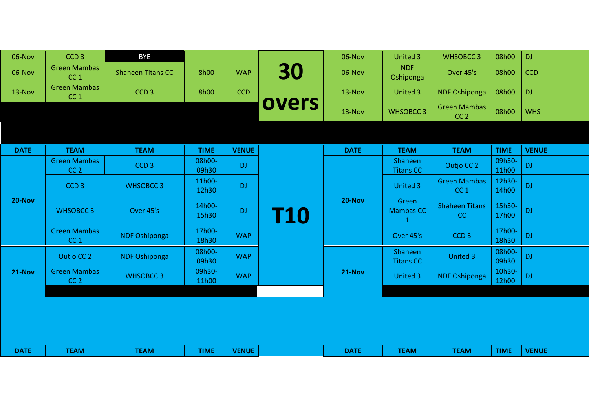| 06-Nov      | CCD <sub>3</sub>                       | <b>BYE</b>               |                 |              |            | 06-Nov      | <b>United 3</b>                | <b>WHSOBCC3</b>                        | 08h00           | <b>DJ</b>     |
|-------------|----------------------------------------|--------------------------|-----------------|--------------|------------|-------------|--------------------------------|----------------------------------------|-----------------|---------------|
| 06-Nov      | <b>Green Mambas</b><br>CC <sub>1</sub> | <b>Shaheen Titans CC</b> | 8h00            | <b>WAP</b>   | 30         | 06-Nov      | <b>NDF</b><br>Oshiponga        | Over 45's                              | 08h00           | <b>CCD</b>    |
| 13-Nov      | <b>Green Mambas</b><br>CC <sub>1</sub> | CCD <sub>3</sub>         | 8h00            | <b>CCD</b>   |            | $13-Nov$    | United 3                       | <b>NDF Oshiponga</b>                   | 08h00           | <b>DJ</b>     |
|             |                                        |                          |                 |              | overs      | 13-Nov      | <b>WHSOBCC3</b>                | <b>Green Mambas</b><br>CC <sub>2</sub> | 08h00           | <b>WHS</b>    |
|             |                                        |                          |                 |              |            |             |                                |                                        |                 |               |
| <b>DATE</b> | <b>TEAM</b>                            | <b>TEAM</b>              | <b>TIME</b>     | <b>VENUE</b> |            | <b>DATE</b> | <b>TEAM</b>                    | <b>TEAM</b>                            | <b>TIME</b>     | <b>VENUE</b>  |
|             | <b>Green Mambas</b><br>CC <sub>2</sub> | CCD <sub>3</sub>         | 08h00-<br>09h30 | <b>DJ</b>    |            |             | Shaheen<br><b>Titans CC</b>    | Outjo CC 2                             | 09h30-<br>11h00 | $\mathsf{DJ}$ |
|             | CCD <sub>3</sub>                       | <b>WHSOBCC3</b>          | 11h00-<br>12h30 | <b>DJ</b>    | <b>T10</b> |             | United 3                       | <b>Green Mambas</b><br>CC <sub>1</sub> | 12h30-<br>14h00 | $\mathsf{DJ}$ |
| 20-Nov      | <b>WHSOBCC3</b>                        | Over 45's                | 14h00-<br>15h30 | <b>DJ</b>    |            | 20-Nov      | Green<br><b>Mambas CC</b><br>1 | <b>Shaheen Titans</b><br>CC            | 15h30-<br>17h00 | <b>DJ</b>     |
|             | <b>Green Mambas</b><br>CC <sub>1</sub> | <b>NDF Oshiponga</b>     | 17h00-<br>18h30 | <b>WAP</b>   |            |             | Over 45's                      | CCD <sub>3</sub>                       | 17h00-<br>18h30 | $\mathsf{DJ}$ |
|             | Outjo CC 2                             | <b>NDF Oshiponga</b>     | 08h00-<br>09h30 | <b>WAP</b>   |            |             | Shaheen<br><b>Titans CC</b>    | <b>United 3</b>                        | 08h00-<br>09h30 | $\mathsf{DJ}$ |
| 21-Nov      | <b>Green Mambas</b><br>CC <sub>2</sub> | <b>WHSOBCC3</b>          | 09h30-<br>11h00 | <b>WAP</b>   |            | 21-Nov      | United 3                       | <b>NDF Oshiponga</b>                   | 10h30-<br>12h00 | $\mathsf{DJ}$ |
|             |                                        |                          |                 |              |            |             |                                |                                        |                 |               |
| <b>DATE</b> | <b>TEAM</b>                            | <b>TEAM</b>              | <b>TIME</b>     | <b>VENUE</b> |            | <b>DATE</b> | <b>TEAM</b>                    | <b>TEAM</b>                            | <b>TIME</b>     | <b>VENUE</b>  |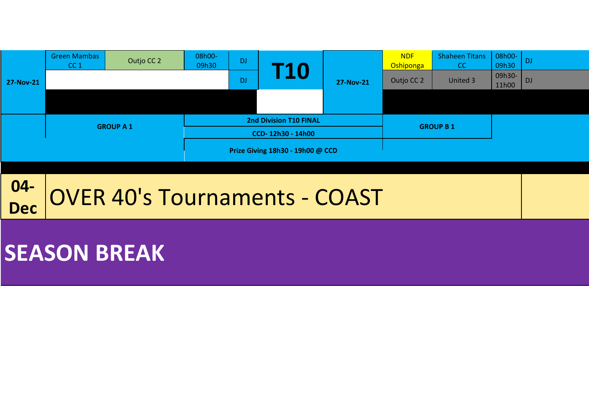

#### **04- Dec** OVER 40's Tournaments - COAST

## **SEASON BREAK**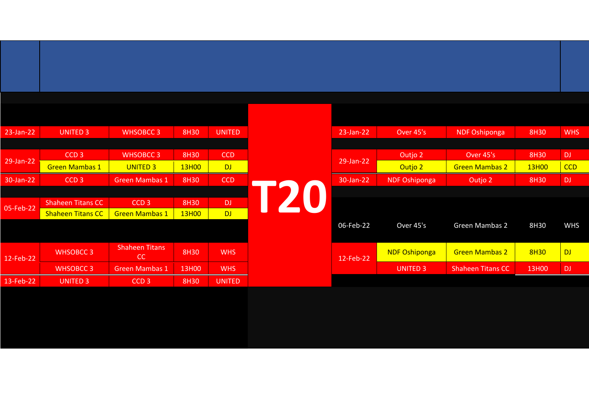| $23$ -Jan-22 | <b>UNITED 3</b>          | <b>WHSOBCC3</b>       | 8H30  | <b>UNITED</b> | 23-Jan-22    | Over 45's            | <b>NDF Oshiponga</b>     |  |
|--------------|--------------------------|-----------------------|-------|---------------|--------------|----------------------|--------------------------|--|
|              |                          |                       |       |               |              |                      |                          |  |
|              | CCD <sub>3</sub>         | <b>WHSOBCC3</b>       | 8H30  | <b>CCD</b>    |              | Outjo 2              | Over 45's                |  |
| 29-Jan-22    | <b>Green Mambas 1</b>    | <b>UNITED 3</b>       | 13H00 | <b>DJ</b>     | $29$ -Jan-22 | Outjo 2              | <b>Green Mambas 2</b>    |  |
| 30-Jan-22    | CCD <sub>3</sub>         | <b>Green Mambas 1</b> | 8H30  | <b>CCD</b>    | 30-Jan-22    | <b>NDF Oshiponga</b> | Outjo 2                  |  |
|              |                          |                       |       |               |              |                      |                          |  |
|              | <b>Shaheen Titans CC</b> | CCD <sub>3</sub>      | 8H30  | DJ.           |              |                      |                          |  |
| 05-Feb-22    | <b>Shaheen Titans CC</b> | <b>Green Mambas 1</b> | 13H00 | <b>DJ</b>     |              |                      |                          |  |
|              |                          |                       |       |               | 06-Feb-22    | Over 45's            | Green Mambas 2           |  |
|              |                          |                       |       |               |              |                      |                          |  |
|              | <b>WHSOBCC 3</b>         | <b>Shaheen Titans</b> | 8H30  | <b>WHS</b>    |              | <b>NDF Oshiponga</b> | <b>Green Mambas 2</b>    |  |
| 12-Feb-22    |                          | CC                    |       |               | 12-Feb-22    |                      |                          |  |
|              | <b>WHSOBCC 3</b>         | <b>Green Mambas 1</b> | 13H00 | <b>WHS</b>    |              | <b>UNITED 3</b>      | <b>Shaheen Titans CC</b> |  |
| 13-Feb-22    | <b>UNITED 3</b>          | CCD <sub>3</sub>      | 8H30  | <b>UNITED</b> |              |                      |                          |  |